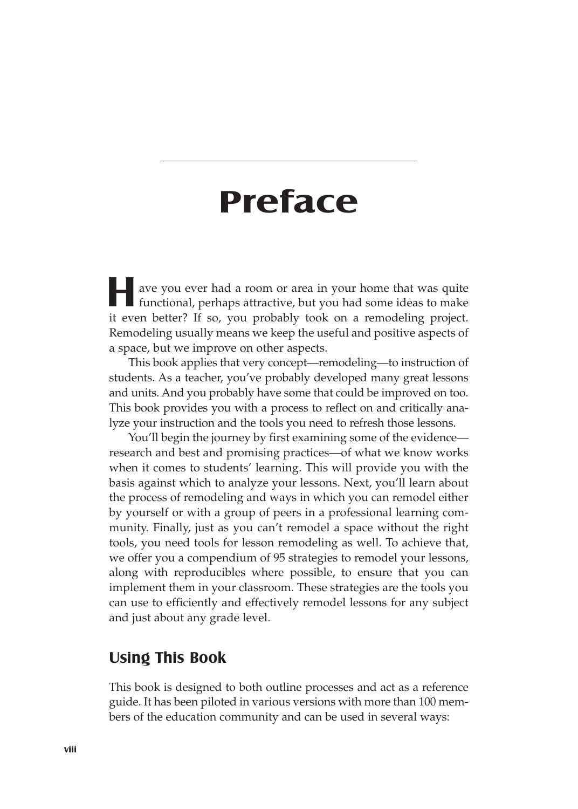## **Preface**

ave you ever had a room or area in your home that was quite functional, perhaps attractive, but you had some ideas to make it even better? If so, you probably took on a remodeling project. Remodeling usually means we keep the useful and positive aspects of a space, but we improve on other aspects.

This book applies that very concept—remodeling—to instruction of students. As a teacher, you've probably developed many great lessons and units. And you probably have some that could be improved on too. This book provides you with a process to reflect on and critically analyze your instruction and the tools you need to refresh those lessons.

You'll begin the journey by first examining some of the evidence research and best and promising practices—of what we know works when it comes to students' learning. This will provide you with the basis against which to analyze your lessons. Next, you'll learn about the process of remodeling and ways in which you can remodel either by yourself or with a group of peers in a professional learning community. Finally, just as you can't remodel a space without the right tools, you need tools for lesson remodeling as well. To achieve that, we offer you a compendium of 95 strategies to remodel your lessons, along with reproducibles where possible, to ensure that you can implement them in your classroom. These strategies are the tools you can use to efficiently and effectively remodel lessons for any subject and just about any grade level.

## **Using This Book**

This book is designed to both outline processes and act as a reference guide. It has been piloted in various versions with more than 100 members of the education community and can be used in several ways: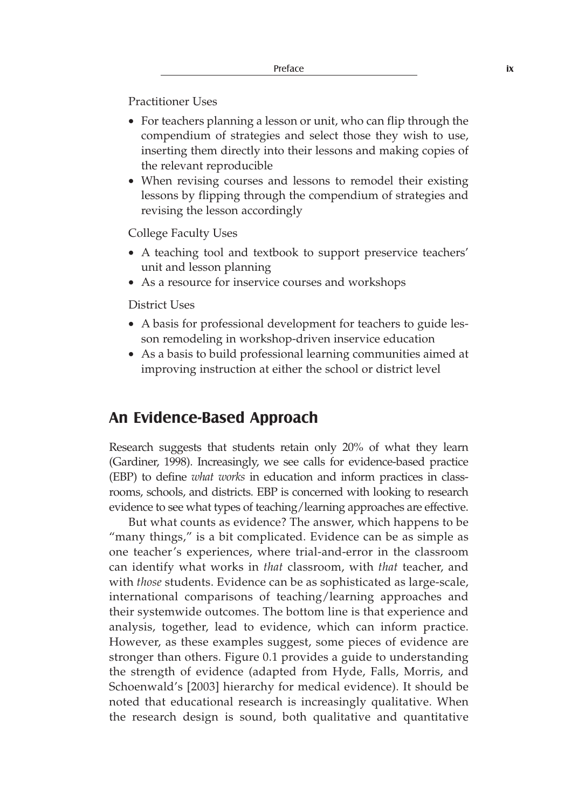Practitioner Uses

- For teachers planning a lesson or unit, who can flip through the compendium of strategies and select those they wish to use, inserting them directly into their lessons and making copies of the relevant reproducible
- When revising courses and lessons to remodel their existing lessons by flipping through the compendium of strategies and revising the lesson accordingly

College Faculty Uses

- A teaching tool and textbook to support preservice teachers' unit and lesson planning
- As a resource for inservice courses and workshops

District Uses

- A basis for professional development for teachers to guide lesson remodeling in workshop-driven inservice education
- As a basis to build professional learning communities aimed at improving instruction at either the school or district level

## **An Evidence-Based Approach**

Research suggests that students retain only 20% of what they learn (Gardiner, 1998). Increasingly, we see calls for evidence-based practice (EBP) to define *what works* in education and inform practices in classrooms, schools, and districts. EBP is concerned with looking to research evidence to see what types of teaching/learning approaches are effective.

But what counts as evidence? The answer, which happens to be "many things," is a bit complicated. Evidence can be as simple as one teacher's experiences, where trial-and-error in the classroom can identify what works in *that* classroom, with *that* teacher, and with *those* students. Evidence can be as sophisticated as large-scale, international comparisons of teaching/learning approaches and their systemwide outcomes. The bottom line is that experience and analysis, together, lead to evidence, which can inform practice. However, as these examples suggest, some pieces of evidence are stronger than others. Figure 0.1 provides a guide to understanding the strength of evidence (adapted from Hyde, Falls, Morris, and Schoenwald's [2003] hierarchy for medical evidence). It should be noted that educational research is increasingly qualitative. When the research design is sound, both qualitative and quantitative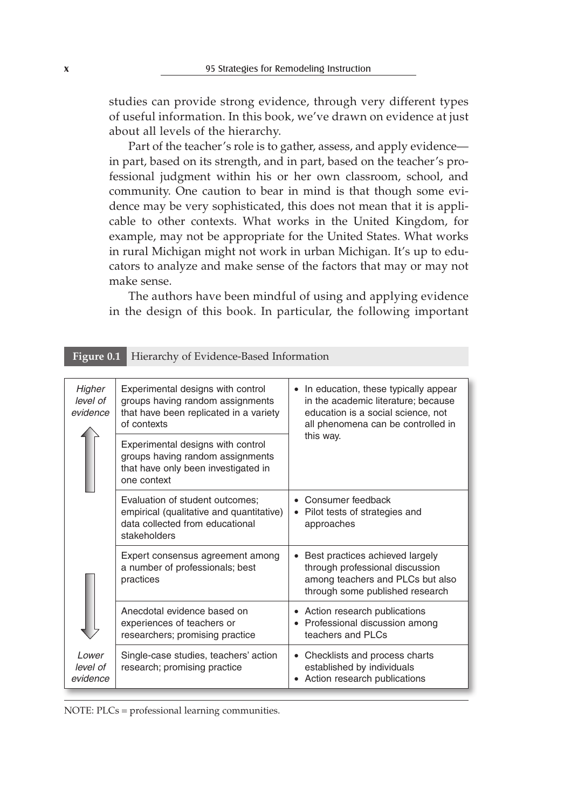studies can provide strong evidence, through very different types of useful information. In this book, we've drawn on evidence at just about all levels of the hierarchy.

Part of the teacher's role is to gather, assess, and apply evidence in part, based on its strength, and in part, based on the teacher's professional judgment within his or her own classroom, school, and community. One caution to bear in mind is that though some evidence may be very sophisticated, this does not mean that it is applicable to other contexts. What works in the United Kingdom, for example, may not be appropriate for the United States. What works in rural Michigan might not work in urban Michigan. It's up to educators to analyze and make sense of the factors that may or may not make sense.

The authors have been mindful of using and applying evidence in the design of this book. In particular, the following important

| Higher<br>level of<br>evidence | Experimental designs with control<br>groups having random assignments<br>that have been replicated in a variety<br>of contexts | • In education, these typically appear<br>in the academic literature; because<br>education is a social science, not<br>all phenomena can be controlled in<br>this way. |
|--------------------------------|--------------------------------------------------------------------------------------------------------------------------------|------------------------------------------------------------------------------------------------------------------------------------------------------------------------|
|                                | Experimental designs with control<br>groups having random assignments<br>that have only been investigated in<br>one context    |                                                                                                                                                                        |
|                                | Evaluation of student outcomes;<br>empirical (qualitative and quantitative)<br>data collected from educational<br>stakeholders | • Consumer feedback<br>Pilot tests of strategies and<br>approaches                                                                                                     |
|                                | Expert consensus agreement among<br>a number of professionals; best<br>practices                                               | Best practices achieved largely<br>through professional discussion<br>among teachers and PLCs but also<br>through some published research                              |
|                                | Anecdotal evidence based on<br>experiences of teachers or<br>researchers; promising practice                                   | • Action research publications<br>• Professional discussion among<br>teachers and PLCs                                                                                 |
| Lower<br>level of<br>evidence  | Single-case studies, teachers' action<br>research; promising practice                                                          | Checklists and process charts<br>established by individuals<br>Action research publications                                                                            |

NOTE: PLCs = professional learning communities.

**Figure 0.1** Hierarchy of Evidence-Based Information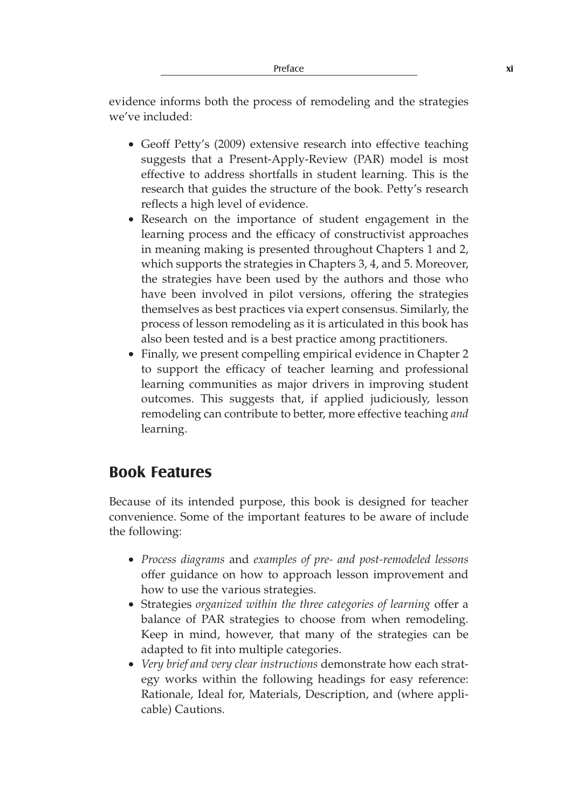evidence informs both the process of remodeling and the strategies we've included:

- Geoff Petty's (2009) extensive research into effective teaching suggests that a Present-Apply-Review (PAR) model is most effective to address shortfalls in student learning. This is the research that guides the structure of the book. Petty's research reflects a high level of evidence.
- Research on the importance of student engagement in the learning process and the efficacy of constructivist approaches in meaning making is presented throughout Chapters 1 and 2, which supports the strategies in Chapters 3, 4, and 5. Moreover, the strategies have been used by the authors and those who have been involved in pilot versions, offering the strategies themselves as best practices via expert consensus. Similarly, the process of lesson remodeling as it is articulated in this book has also been tested and is a best practice among practitioners.
- Finally, we present compelling empirical evidence in Chapter 2 to support the efficacy of teacher learning and professional learning communities as major drivers in improving student outcomes. This suggests that, if applied judiciously, lesson remodeling can contribute to better, more effective teaching *and* learning.

## **Book Features**

Because of its intended purpose, this book is designed for teacher convenience. Some of the important features to be aware of include the following:

- • *Process diagrams* and *examples of pre- and post-remodeled lessons* offer guidance on how to approach lesson improvement and how to use the various strategies.
- • Strategies *organized within the three categories of learning* offer a balance of PAR strategies to choose from when remodeling. Keep in mind, however, that many of the strategies can be adapted to fit into multiple categories.
- *Very brief and very clear instructions* demonstrate how each strategy works within the following headings for easy reference: Rationale, Ideal for, Materials, Description, and (where applicable) Cautions.